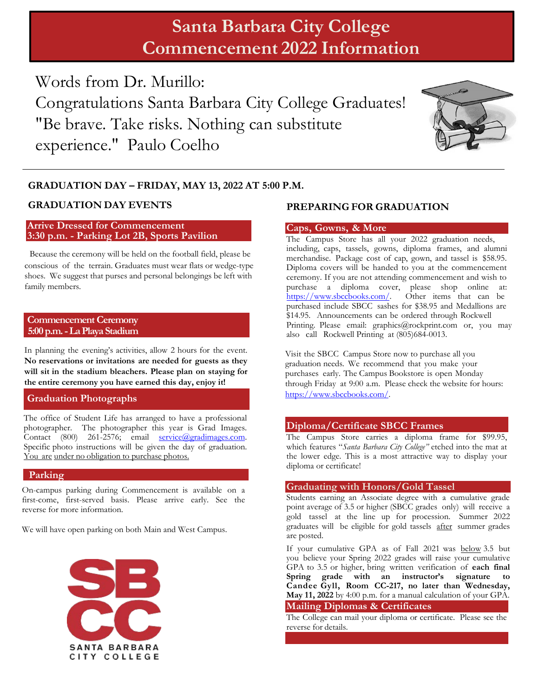# **Santa Barbara City College Commencement 2022 Information**

Words from Dr. Murillo: Congratulations Santa Barbara City College Graduates! "Be brave. Take risks. Nothing can substitute experience." Paulo Coelho



#### **GRADUATION DAY – FRIDAY, MAY 13, 2022 AT 5:00 P.M.**

#### **Arrive Dressed for Commencement 3:30 p.m. - Parking Lot 2B, Sports Pavilion**

Because the ceremony will be held on the football field, please be conscious of the terrain. Graduates must wear flats or wedge-type shoes. We suggest that purses and personal belongings be left with family members.

#### **Commencement Ceremony 5:00 p.m. - La Playa Stadium**

In planning the evening's activities, allow 2 hours for the event. **No reservations or invitations are needed for guests as they will sit in the stadium bleachers. Please plan on staying for the entire ceremony you have earned this day, enjoy it!**

#### **Graduation Photographs**

The office of Student Life has arranged to have a professional photographer. The photographer this year is Grad Images. Contact (800) 261-2576; email service@gradimages.com. Specific photo instructions will be given the day of graduation. You are under no obligation to purchase photos.

#### **Parking**

On-campus parking during Commencement is available on a first-come, first-served basis. Please arrive early. See the reverse for more information.

We will have open parking on both Main and West Campus.



### **GRADUATION DAY EVENTS PREPARING FOR GRADUATION**

#### **Caps, Gowns, & More**

The Campus Store has all your 2022 graduation needs, including, caps, tassels, gowns, diploma frames, and alumni merchandise. Package cost of cap, gown, and tassel is \$58.95. Diploma covers will be handed to you at the commencement ceremony. If you are not attending commencement and wish to purchase a diploma cover, please shop online at: https://www.sbccbooks.com/. Other items that can be purchased include SBCC sashes for \$38.95 and Medallions are \$14.95. Announcements can be ordered through Rockwell Printing. Please email: graphics@rockprint.com or, you may also call Rockwell Printing at (805)684-0013.

Visit the SBCC Campus Store now to purchase all you graduation needs*.* We recommend that you make your purchases early. The Campus Bookstore is open Monday through Friday at 9:00 a.m. Please check the website for hours: https://www.sbccbooks.com/.

#### **Diploma/Certificate SBCC Frames**

The Campus Store carries a diploma frame for \$99.95, which features "*Santa Barbara City College"* etched into the mat at the lower edge. This is a most attractive way to display your diploma or certificate!

#### **Graduating with Honors/Gold Tassel**

Students earning an Associate degree with a cumulative grade point average of 3.5 or higher (SBCC grades only) will receive a gold tassel at the line up for procession. Summer 2022 graduates will be eligible for gold tassels after summer grades are posted.

If your cumulative GPA as of Fall 2021 was below 3.5 but you believe your Spring 2022 grades will raise your cumulative GPA to 3.5 or higher, bring written verification of **each final**<br>Spring **grade** with an instructor's signature to Spring grade with an instructor's signature **Candee Gyll, Room CC-217, no later than Wednesday, May 11, 2022** by 4:00 p.m. for a manual calculation of your GPA. **Mailing Diplomas & Certificates**

The College can mail your diploma or certificate. Please see the reverse for details.